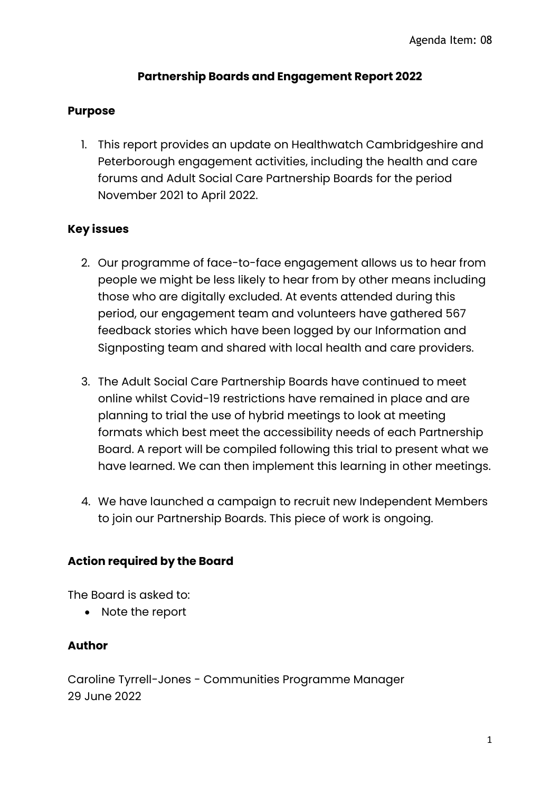# **Partnership Boards and Engagement Report 2022**

# **Purpose**

1. This report provides an update on Healthwatch Cambridgeshire and Peterborough engagement activities, including the health and care forums and Adult Social Care Partnership Boards for the period November 2021 to April 2022.

## **Key issues**

- 2. Our programme of face-to-face engagement allows us to hear from people we might be less likely to hear from by other means including those who are digitally excluded. At events attended during this period, our engagement team and volunteers have gathered 567 feedback stories which have been logged by our Information and Signposting team and shared with local health and care providers.
- 3. The Adult Social Care Partnership Boards have continued to meet online whilst Covid-19 restrictions have remained in place and are planning to trial the use of hybrid meetings to look at meeting formats which best meet the accessibility needs of each Partnership Board. A report will be compiled following this trial to present what we have learned. We can then implement this learning in other meetings.
- 4. We have launched a campaign to recruit new Independent Members to join our Partnership Boards. This piece of work is ongoing.

# **Action required by the Board**

The Board is asked to:

• Note the report

#### **Author**

Caroline Tyrrell-Jones - Communities Programme Manager 29 June 2022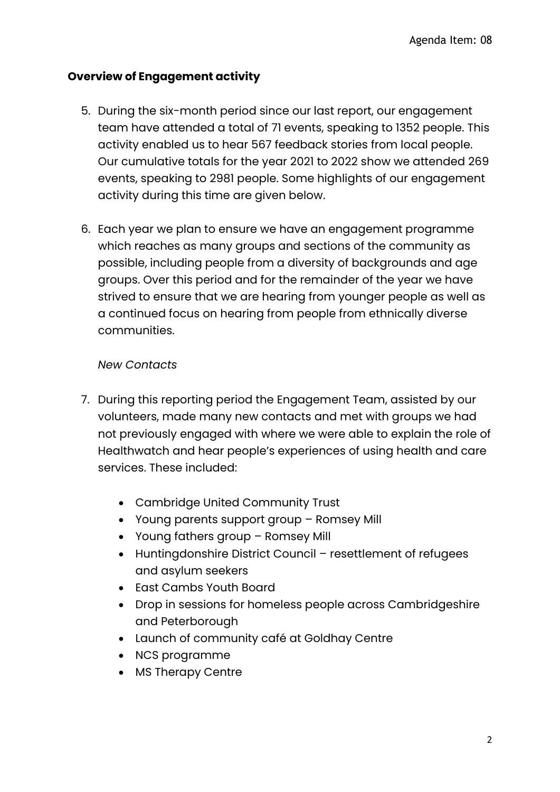# **Overview of Engagement activity**

- 5. During the six-month period since our last report, our engagement team have attended a total of 71 events, speaking to 1352 people. This activity enabled us to hear 567 feedback stories from local people. Our cumulative totals for the year 2021 to 2022 show we attended 269 events, speaking to 2981 people. Some highlights of our engagement activity during this time are given below.
- 6. Each year we plan to ensure we have an engagement programme which reaches as many groups and sections of the community as possible, including people from a diversity of backgrounds and age groups. Over this period and for the remainder of the year we have strived to ensure that we are hearing from younger people as well as a continued focus on hearing from people from ethnically diverse communities.

## *New Contacts*

- 7. During this reporting period the Engagement Team, assisted by our volunteers, made many new contacts and met with groups we had not previously engaged with where we were able to explain the role of Healthwatch and hear people's experiences of using health and care services. These included:
	- Cambridge United Community Trust
	- Young parents support group Romsey Mill
	- Young fathers group Romsey Mill
	- Huntingdonshire District Council resettlement of refugees and asylum seekers
	- East Cambs Youth Board
	- Drop in sessions for homeless people across Cambridgeshire and Peterborough
	- Launch of community café at Goldhay Centre
	- NCS programme
	- MS Therapy Centre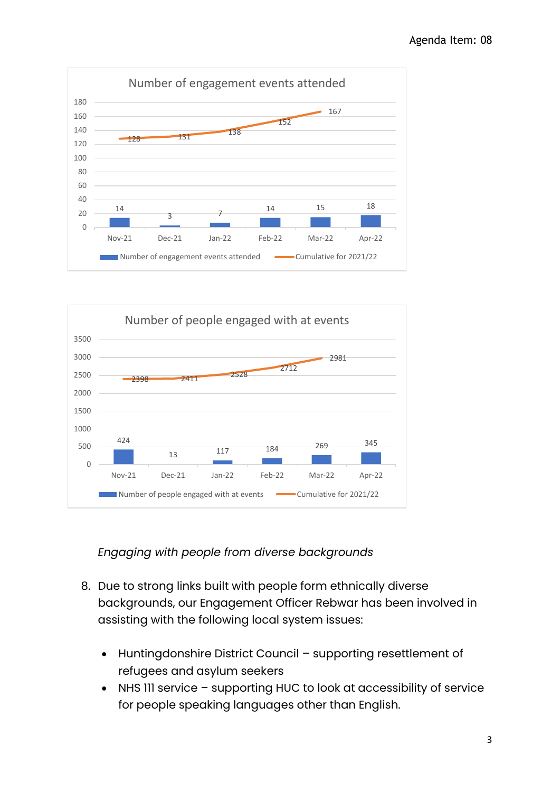



*Engaging with people from diverse backgrounds*

- 8. Due to strong links built with people form ethnically diverse backgrounds, our Engagement Officer Rebwar has been involved in assisting with the following local system issues:
	- Huntingdonshire District Council supporting resettlement of refugees and asylum seekers
	- NHS III service supporting HUC to look at accessibility of service for people speaking languages other than English.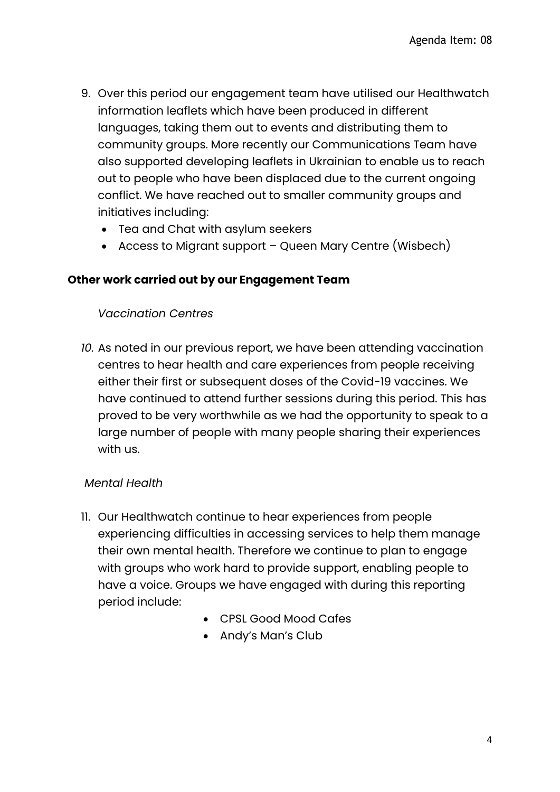- 9. Over this period our engagement team have utilised our Healthwatch information leaflets which have been produced in different languages, taking them out to events and distributing them to community groups. More recently our Communications Team have also supported developing leaflets in Ukrainian to enable us to reach out to people who have been displaced due to the current ongoing conflict. We have reached out to smaller community groups and initiatives including:
	- Tea and Chat with asylum seekers
	- Access to Migrant support Queen Mary Centre (Wisbech)

#### **Other work carried out by our Engagement Team**

#### *Vaccination Centres*

*10.* As noted in our previous report, we have been attending vaccination centres to hear health and care experiences from people receiving either their first or subsequent doses of the Covid-19 vaccines. We have continued to attend further sessions during this period. This has proved to be very worthwhile as we had the opportunity to speak to a large number of people with many people sharing their experiences with us.

#### *Mental Health*

- 11. Our Healthwatch continue to hear experiences from people experiencing difficulties in accessing services to help them manage their own mental health. Therefore we continue to plan to engage with groups who work hard to provide support, enabling people to have a voice. Groups we have engaged with during this reporting period include:
	- CPSL Good Mood Cafes
	- Andy's Man's Club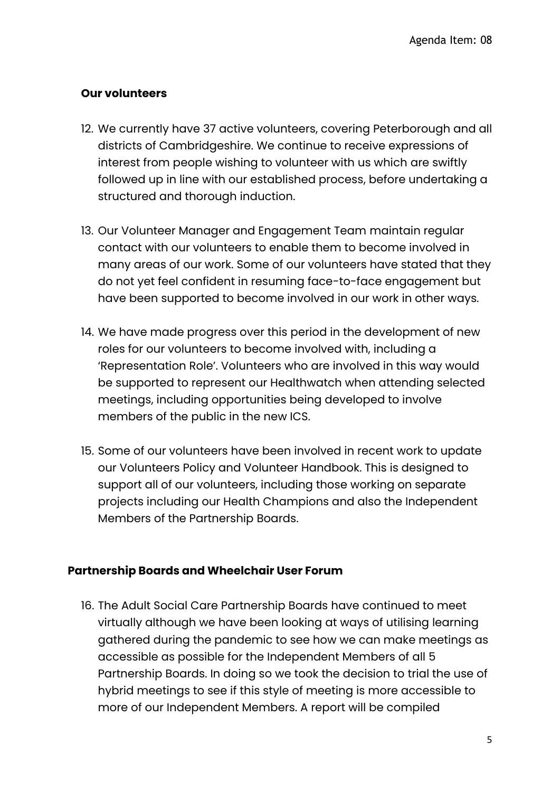# **Our volunteers**

- 12. We currently have 37 active volunteers, covering Peterborough and all districts of Cambridgeshire. We continue to receive expressions of interest from people wishing to volunteer with us which are swiftly followed up in line with our established process, before undertaking a structured and thorough induction.
- 13. Our Volunteer Manager and Engagement Team maintain regular contact with our volunteers to enable them to become involved in many areas of our work. Some of our volunteers have stated that they do not yet feel confident in resuming face-to-face engagement but have been supported to become involved in our work in other ways.
- 14. We have made progress over this period in the development of new roles for our volunteers to become involved with, including a 'Representation Role'. Volunteers who are involved in this way would be supported to represent our Healthwatch when attending selected meetings, including opportunities being developed to involve members of the public in the new ICS.
- 15. Some of our volunteers have been involved in recent work to update our Volunteers Policy and Volunteer Handbook. This is designed to support all of our volunteers, including those working on separate projects including our Health Champions and also the Independent Members of the Partnership Boards.

# **Partnership Boards and Wheelchair User Forum**

16. The Adult Social Care Partnership Boards have continued to meet virtually although we have been looking at ways of utilising learning gathered during the pandemic to see how we can make meetings as accessible as possible for the Independent Members of all 5 Partnership Boards. In doing so we took the decision to trial the use of hybrid meetings to see if this style of meeting is more accessible to more of our Independent Members. A report will be compiled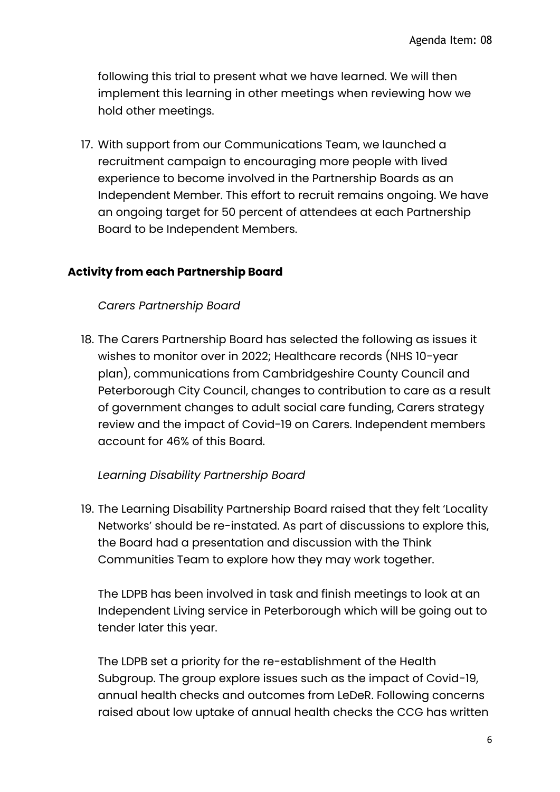following this trial to present what we have learned. We will then implement this learning in other meetings when reviewing how we hold other meetings.

17. With support from our Communications Team, we launched a recruitment campaign to encouraging more people with lived experience to become involved in the Partnership Boards as an Independent Member. This effort to recruit remains ongoing. We have an ongoing target for 50 percent of attendees at each Partnership Board to be Independent Members.

## **Activity from each Partnership Board**

#### *Carers Partnership Board*

18. The Carers Partnership Board has selected the following as issues it wishes to monitor over in 2022; Healthcare records (NHS 10-year plan), communications from Cambridgeshire County Council and Peterborough City Council, changes to contribution to care as a result of government changes to adult social care funding, Carers strategy review and the impact of Covid-19 on Carers. Independent members account for 46% of this Board.

#### *Learning Disability Partnership Board*

19. The Learning Disability Partnership Board raised that they felt 'Locality Networks' should be re-instated. As part of discussions to explore this, the Board had a presentation and discussion with the Think Communities Team to explore how they may work together.

The LDPB has been involved in task and finish meetings to look at an Independent Living service in Peterborough which will be going out to tender later this year.

The LDPB set a priority for the re-establishment of the Health Subgroup. The group explore issues such as the impact of Covid-19, annual health checks and outcomes from LeDeR. Following concerns raised about low uptake of annual health checks the CCG has written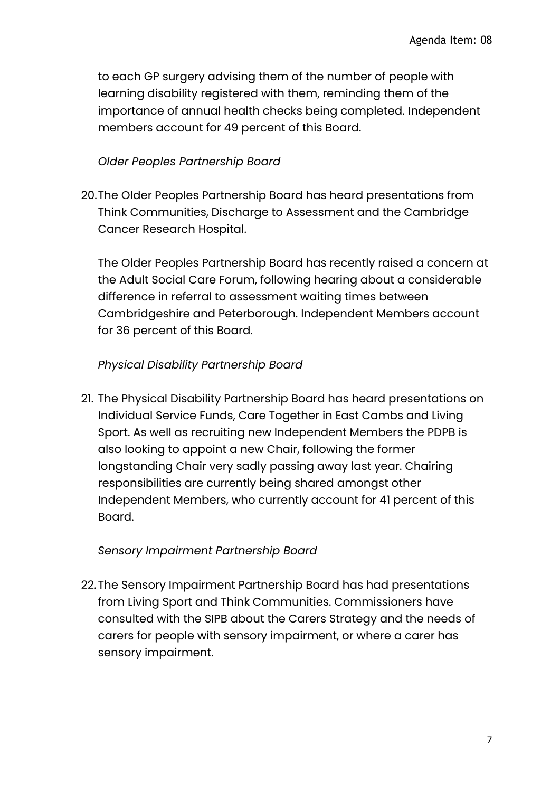to each GP surgery advising them of the number of people with learning disability registered with them, reminding them of the importance of annual health checks being completed. Independent members account for 49 percent of this Board.

# *Older Peoples Partnership Board*

20.The Older Peoples Partnership Board has heard presentations from Think Communities, Discharge to Assessment and the Cambridge Cancer Research Hospital.

The Older Peoples Partnership Board has recently raised a concern at the Adult Social Care Forum, following hearing about a considerable difference in referral to assessment waiting times between Cambridgeshire and Peterborough. Independent Members account for 36 percent of this Board.

# *Physical Disability Partnership Board*

21. The Physical Disability Partnership Board has heard presentations on Individual Service Funds, Care Together in East Cambs and Living Sport. As well as recruiting new Independent Members the PDPB is also looking to appoint a new Chair, following the former longstanding Chair very sadly passing away last year. Chairing responsibilities are currently being shared amongst other Independent Members, who currently account for 41 percent of this Board.

#### *Sensory Impairment Partnership Board*

22.The Sensory Impairment Partnership Board has had presentations from Living Sport and Think Communities. Commissioners have consulted with the SIPB about the Carers Strategy and the needs of carers for people with sensory impairment, or where a carer has sensory impairment.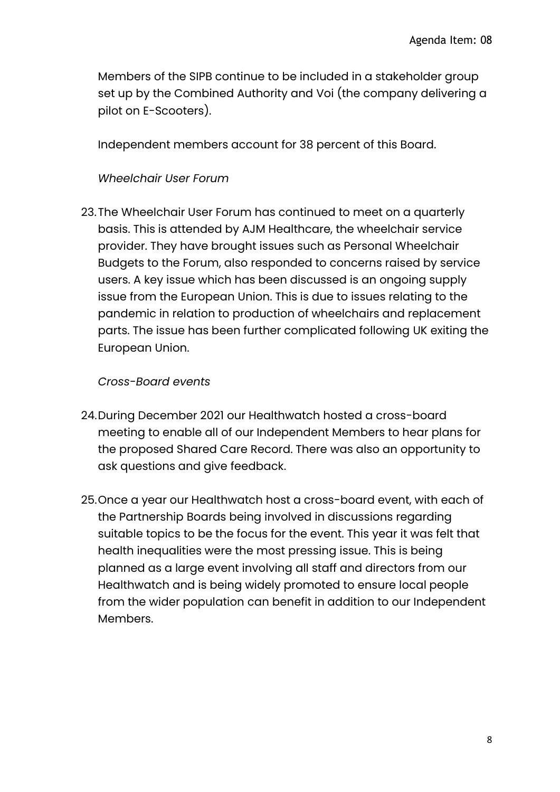Members of the SIPB continue to be included in a stakeholder group set up by the Combined Authority and Voi (the company delivering a pilot on E-Scooters).

Independent members account for 38 percent of this Board.

## *Wheelchair User Forum*

23.The Wheelchair User Forum has continued to meet on a quarterly basis. This is attended by AJM Healthcare, the wheelchair service provider. They have brought issues such as Personal Wheelchair Budgets to the Forum, also responded to concerns raised by service users. A key issue which has been discussed is an ongoing supply issue from the European Union. This is due to issues relating to the pandemic in relation to production of wheelchairs and replacement parts. The issue has been further complicated following UK exiting the European Union.

## *Cross-Board events*

- 24.During December 2021 our Healthwatch hosted a cross-board meeting to enable all of our Independent Members to hear plans for the proposed Shared Care Record. There was also an opportunity to ask questions and give feedback.
- 25.Once a year our Healthwatch host a cross-board event, with each of the Partnership Boards being involved in discussions regarding suitable topics to be the focus for the event. This year it was felt that health inequalities were the most pressing issue. This is being planned as a large event involving all staff and directors from our Healthwatch and is being widely promoted to ensure local people from the wider population can benefit in addition to our Independent Members.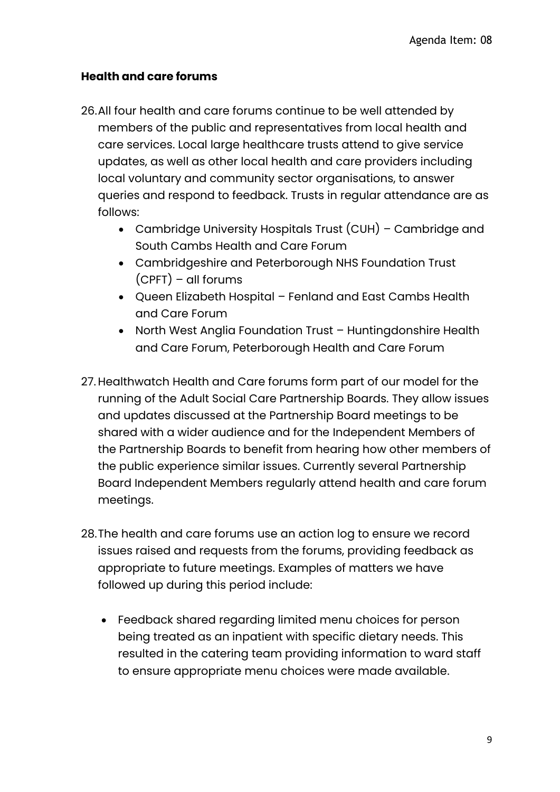# **Health and care forums**

- 26.All four health and care forums continue to be well attended by members of the public and representatives from local health and care services. Local large healthcare trusts attend to give service updates, as well as other local health and care providers including local voluntary and community sector organisations, to answer queries and respond to feedback. Trusts in regular attendance are as follows:
	- Cambridge University Hospitals Trust (CUH) Cambridge and South Cambs Health and Care Forum
	- Cambridgeshire and Peterborough NHS Foundation Trust (CPFT) – all forums
	- Queen Elizabeth Hospital Fenland and East Cambs Health and Care Forum
	- North West Anglia Foundation Trust Huntingdonshire Health and Care Forum, Peterborough Health and Care Forum
- 27.Healthwatch Health and Care forums form part of our model for the running of the Adult Social Care Partnership Boards. They allow issues and updates discussed at the Partnership Board meetings to be shared with a wider audience and for the Independent Members of the Partnership Boards to benefit from hearing how other members of the public experience similar issues. Currently several Partnership Board Independent Members regularly attend health and care forum meetings.
- 28.The health and care forums use an action log to ensure we record issues raised and requests from the forums, providing feedback as appropriate to future meetings. Examples of matters we have followed up during this period include:
	- Feedback shared regarding limited menu choices for person being treated as an inpatient with specific dietary needs. This resulted in the catering team providing information to ward staff to ensure appropriate menu choices were made available.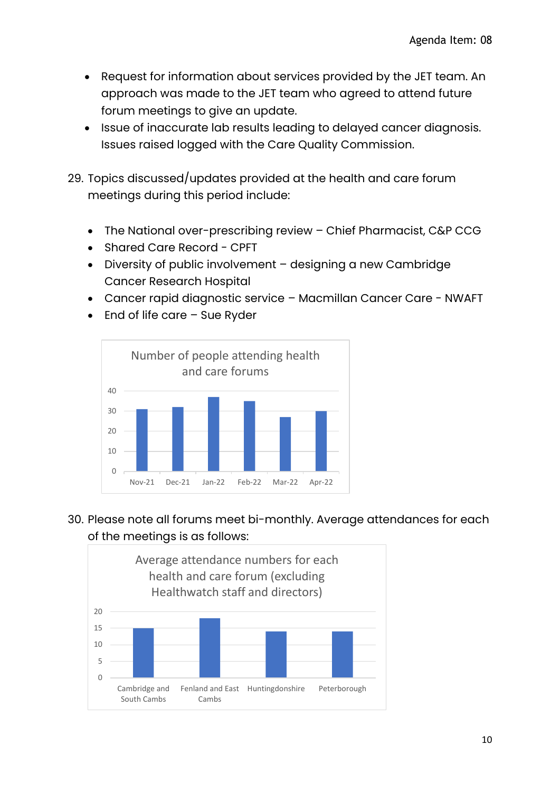- Request for information about services provided by the JET team. An approach was made to the JET team who agreed to attend future forum meetings to give an update.
- Issue of inaccurate lab results leading to delayed cancer diagnosis. Issues raised logged with the Care Quality Commission.
- 29. Topics discussed/updates provided at the health and care forum meetings during this period include:
	- The National over-prescribing review Chief Pharmacist, C&P CCG
	- Shared Care Record CPFT
	- Diversity of public involvement designing a new Cambridge Cancer Research Hospital
	- Cancer rapid diagnostic service Macmillan Cancer Care NWAFT
	- End of life care Sue Ryder



30. Please note all forums meet bi-monthly. Average attendances for each of the meetings is as follows: